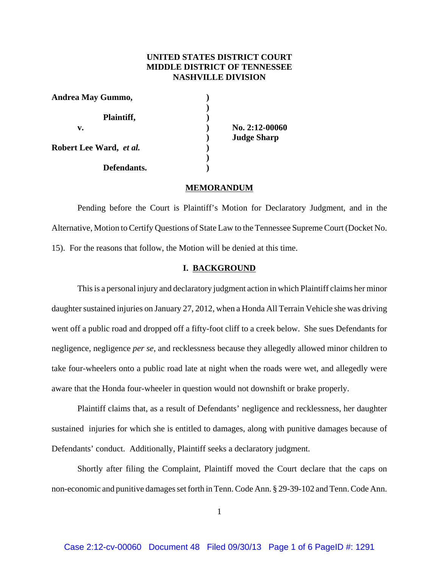# **UNITED STATES DISTRICT COURT MIDDLE DISTRICT OF TENNESSEE NASHVILLE DIVISION**

| Andrea May Gummo,       |                    |
|-------------------------|--------------------|
| Plaintiff,              |                    |
| v.                      | No. 2:12-00060     |
|                         | <b>Judge Sharp</b> |
| Robert Lee Ward, et al. |                    |
|                         |                    |
| Defendants.             |                    |

### **MEMORANDUM**

Pending before the Court is Plaintiff's Motion for Declaratory Judgment, and in the Alternative, Motion to Certify Questions of State Law to the Tennessee Supreme Court (Docket No. 15). For the reasons that follow, the Motion will be denied at this time.

## **I. BACKGROUND**

This is a personal injury and declaratory judgment action in which Plaintiff claims her minor daughter sustained injuries on January 27, 2012, when a Honda All Terrain Vehicle she was driving went off a public road and dropped off a fifty-foot cliff to a creek below. She sues Defendants for negligence, negligence *per se*, and recklessness because they allegedly allowed minor children to take four-wheelers onto a public road late at night when the roads were wet, and allegedly were aware that the Honda four-wheeler in question would not downshift or brake properly.

Plaintiff claims that, as a result of Defendants' negligence and recklessness, her daughter sustained injuries for which she is entitled to damages, along with punitive damages because of Defendants' conduct. Additionally, Plaintiff seeks a declaratory judgment.

Shortly after filing the Complaint, Plaintiff moved the Court declare that the caps on non-economic and punitive damages set forth in Tenn. Code Ann. § 29-39-102 and Tenn. Code Ann.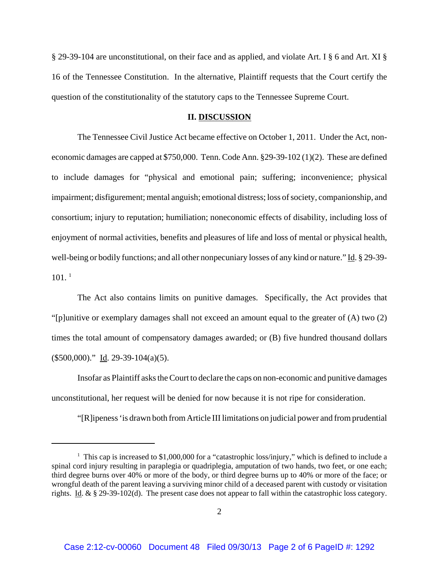§ 29-39-104 are unconstitutional, on their face and as applied, and violate Art. I § 6 and Art. XI § 16 of the Tennessee Constitution. In the alternative, Plaintiff requests that the Court certify the question of the constitutionality of the statutory caps to the Tennessee Supreme Court.

### **II. DISCUSSION**

The Tennessee Civil Justice Act became effective on October 1, 2011. Under the Act, noneconomic damages are capped at \$750,000. Tenn. Code Ann. §29-39-102 (1)(2). These are defined to include damages for "physical and emotional pain; suffering; inconvenience; physical impairment; disfigurement; mental anguish; emotional distress; loss of society, companionship, and consortium; injury to reputation; humiliation; noneconomic effects of disability, including loss of enjoyment of normal activities, benefits and pleasures of life and loss of mental or physical health, well-being or bodily functions; and all other nonpecuniary losses of any kind or nature." Id. § 29-39- $101.$ <sup>1</sup>

The Act also contains limits on punitive damages. Specifically, the Act provides that "[p]unitive or exemplary damages shall not exceed an amount equal to the greater of (A) two (2) times the total amount of compensatory damages awarded; or (B) five hundred thousand dollars (\$500,000)." Id. 29-39-104(a)(5).

Insofar as Plaintiff asks the Court to declare the caps on non-economic and punitive damages unconstitutional, her request will be denied for now because it is not ripe for consideration.

"[R]ipeness 'is drawn both from Article III limitations on judicial power and from prudential

<sup>&</sup>lt;sup>1</sup> This cap is increased to \$1,000,000 for a "catastrophic loss/injury," which is defined to include a spinal cord injury resulting in paraplegia or quadriplegia, amputation of two hands, two feet, or one each; third degree burns over 40% or more of the body, or third degree burns up to 40% or more of the face; or wrongful death of the parent leaving a surviving minor child of a deceased parent with custody or visitation rights. Id. & § 29-39-102(d). The present case does not appear to fall within the catastrophic loss category.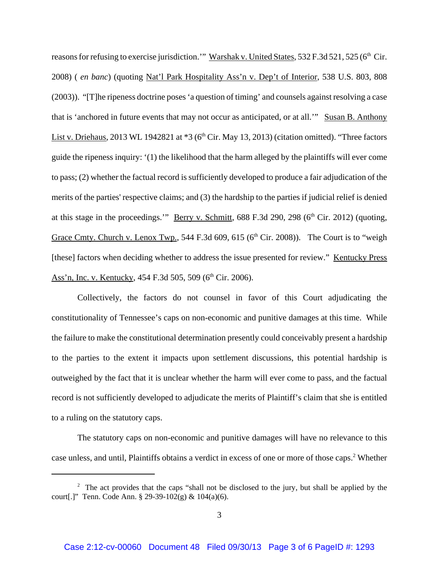reasons for refusing to exercise jurisdiction." Warshak v. United States, 532 F.3d 521, 525 (6<sup>th</sup> Cir. 2008) ( *en banc*) (quoting Nat'l Park Hospitality Ass'n v. Dep't of Interior, 538 U.S. 803, 808 (2003)). "[T]he ripeness doctrine poses 'a question of timing' and counsels against resolving a case that is 'anchored in future events that may not occur as anticipated, or at all.'" Susan B. Anthony List v. Driehaus, 2013 WL 1942821 at  $*3$  (6<sup>th</sup> Cir. May 13, 2013) (citation omitted). "Three factors guide the ripeness inquiry: '(1) the likelihood that the harm alleged by the plaintiffs will ever come to pass; (2) whether the factual record is sufficiently developed to produce a fair adjudication of the merits of the parties' respective claims; and (3) the hardship to the parties if judicial relief is denied at this stage in the proceedings." Berry v. Schmitt,  $688$  F.3d 290, 298 ( $6<sup>th</sup>$  Cir. 2012) (quoting, Grace Cmty. Church v. Lenox Twp., 544 F.3d 609, 615 ( $6<sup>th</sup>$  Cir. 2008)). The Court is to "weigh [these] factors when deciding whether to address the issue presented for review." Kentucky Press Ass'n, Inc. v. Kentucky, 454 F.3d 505, 509 (6<sup>th</sup> Cir. 2006).

Collectively, the factors do not counsel in favor of this Court adjudicating the constitutionality of Tennessee's caps on non-economic and punitive damages at this time. While the failure to make the constitutional determination presently could conceivably present a hardship to the parties to the extent it impacts upon settlement discussions, this potential hardship is outweighed by the fact that it is unclear whether the harm will ever come to pass, and the factual record is not sufficiently developed to adjudicate the merits of Plaintiff's claim that she is entitled to a ruling on the statutory caps.

The statutory caps on non-economic and punitive damages will have no relevance to this case unless, and until, Plaintiffs obtains a verdict in excess of one or more of those caps.<sup>2</sup> Whether

<sup>&</sup>lt;sup>2</sup> The act provides that the caps "shall not be disclosed to the jury, but shall be applied by the court[.]" Tenn. Code Ann. § 29-39-102(g) &  $104(a)(6)$ .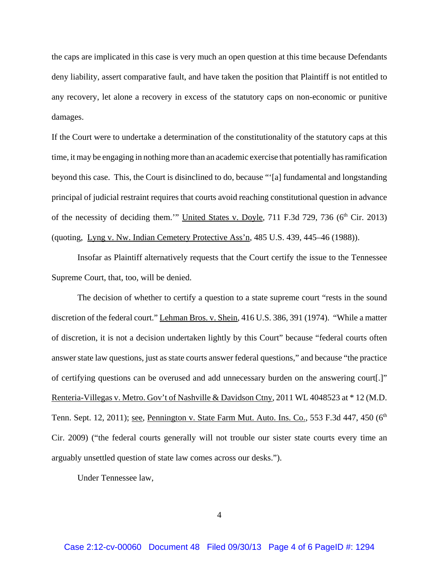the caps are implicated in this case is very much an open question at this time because Defendants deny liability, assert comparative fault, and have taken the position that Plaintiff is not entitled to any recovery, let alone a recovery in excess of the statutory caps on non-economic or punitive damages.

If the Court were to undertake a determination of the constitutionality of the statutory caps at this time, it may be engaging in nothing more than an academic exercise that potentially has ramification beyond this case. This, the Court is disinclined to do, because "'[a] fundamental and longstanding principal of judicial restraint requires that courts avoid reaching constitutional question in advance of the necessity of deciding them.'" United States v. Doyle,  $711$  F.3d  $729$ ,  $736$  ( $6<sup>th</sup>$  Cir. 2013) (quoting, Lyng v. Nw. Indian Cemetery Protective Ass'n, 485 U.S. 439, 445–46 (1988)).

Insofar as Plaintiff alternatively requests that the Court certify the issue to the Tennessee Supreme Court, that, too, will be denied.

The decision of whether to certify a question to a state supreme court "rests in the sound discretion of the federal court." Lehman Bros. v. Shein, 416 U.S. 386, 391 (1974). "While a matter of discretion, it is not a decision undertaken lightly by this Court" because "federal courts often answer state law questions, just as state courts answer federal questions," and because "the practice of certifying questions can be overused and add unnecessary burden on the answering court[.]" Renteria-Villegas v. Metro. Gov't of Nashville & Davidson Ctny, 2011 WL 4048523 at \* 12 (M.D. Tenn. Sept. 12, 2011); <u>see, Pennington v. State Farm Mut. Auto. Ins. Co.</u>, 553 F.3d 447, 450 (6<sup>th</sup> Cir. 2009) ("the federal courts generally will not trouble our sister state courts every time an arguably unsettled question of state law comes across our desks.").

Under Tennessee law,

4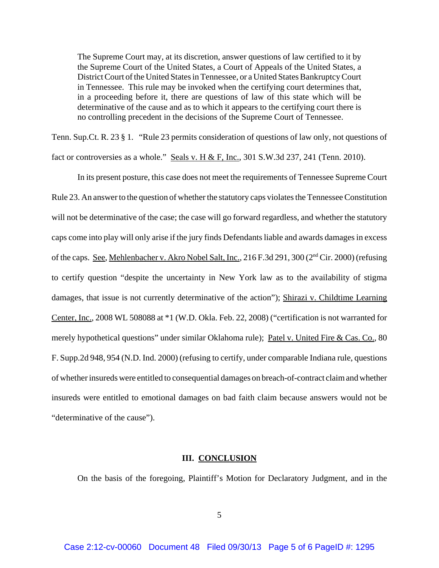The Supreme Court may, at its discretion, answer questions of law certified to it by the Supreme Court of the United States, a Court of Appeals of the United States, a District Court of the United States in Tennessee, or a United States Bankruptcy Court in Tennessee. This rule may be invoked when the certifying court determines that, in a proceeding before it, there are questions of law of this state which will be determinative of the cause and as to which it appears to the certifying court there is no controlling precedent in the decisions of the Supreme Court of Tennessee.

Tenn. Sup.Ct. R. 23 § 1. "Rule 23 permits consideration of questions of law only, not questions of fact or controversies as a whole." Seals v. H & F, Inc., 301 S.W.3d 237, 241 (Tenn. 2010).

In its present posture, this case does not meet the requirements of Tennessee Supreme Court Rule 23. An answer to the question of whether the statutory caps violates the Tennessee Constitution will not be determinative of the case; the case will go forward regardless, and whether the statutory caps come into play will only arise if the jury finds Defendants liable and awards damages in excess of the caps. See, Mehlenbacher v. Akro Nobel Salt, Inc., 216 F.3d 291, 300 (2<sup>nd</sup> Cir. 2000) (refusing to certify question "despite the uncertainty in New York law as to the availability of stigma damages, that issue is not currently determinative of the action"); Shirazi v. Childtime Learning Center, Inc., 2008 WL 508088 at \*1 (W.D. Okla. Feb. 22, 2008) ("certification is not warranted for merely hypothetical questions" under similar Oklahoma rule); Patel v. United Fire & Cas. Co., 80 F. Supp.2d 948, 954 (N.D. Ind. 2000) (refusing to certify, under comparable Indiana rule, questions of whether insureds were entitled to consequential damages on breach-of-contract claim and whether insureds were entitled to emotional damages on bad faith claim because answers would not be "determinative of the cause").

## **III. CONCLUSION**

On the basis of the foregoing, Plaintiff's Motion for Declaratory Judgment, and in the

5